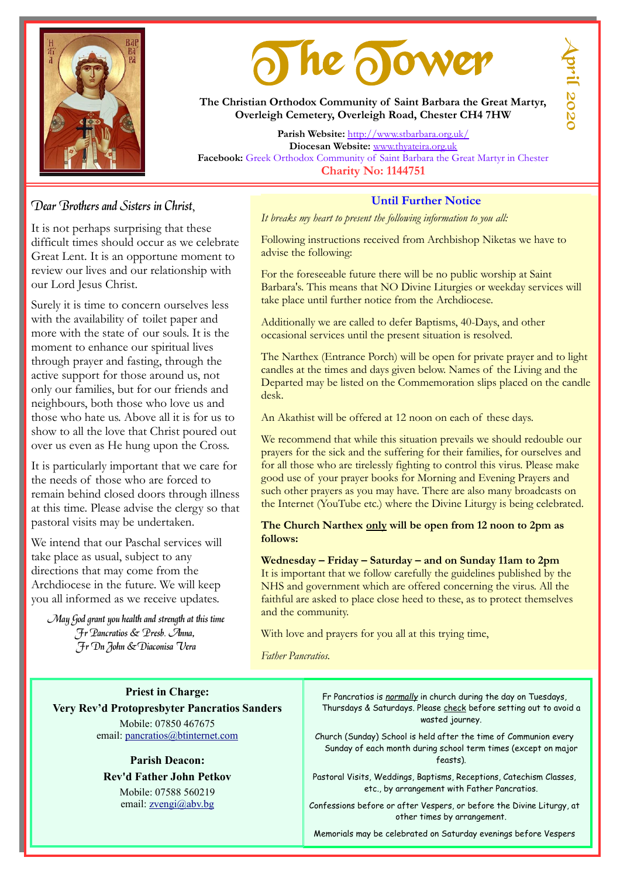

# The Tower

**The Christian Orthodox Community of Saint Barbara the Great Martyr, Overleigh Cemetery, Overleigh Road, Chester CH4 7HW**

**Parish Website:** <http://www.stbarbara.org.uk/> **Diocesan Website:** [www.thyateira.org.uk](http://www.thyateira.org.uk/) **Facebook:** Greek Orthodox Community of Saint Barbara the Great Martyr in Chester **Charity No: 1144751**

### Dear Brothers and Sisters in Christ,

It is not perhaps surprising that these difficult times should occur as we celebrate Great Lent. It is an opportune moment to review our lives and our relationship with our Lord Jesus Christ.

Surely it is time to concern ourselves less with the availability of toilet paper and more with the state of our souls. It is the moment to enhance our spiritual lives through prayer and fasting, through the active support for those around us, not only our families, but for our friends and neighbours, both those who love us and those who hate us. Above all it is for us to show to all the love that Christ poured out over us even as He hung upon the Cross.

It is particularly important that we care for the needs of those who are forced to remain behind closed doors through illness at this time. Please advise the clergy so that pastoral visits may be undertaken.

We intend that our Paschal services will take place as usual, subject to any directions that may come from the Archdiocese in the future. We will keep you all informed as we receive updates.

May God grant you health and strength at this time Fr Pancratios & Presb. Anna, Fr Dn John &Diaconisa Vera

#### **Until Further Notice**

*It breaks my heart to present the following information to you all:*

Following instructions received from Archbishop Niketas we have to advise the following:

For the foreseeable future there will be no public worship at Saint Barbara's. This means that NO Divine Liturgies or weekday services will take place until further notice from the Archdiocese.

Additionally we are called to defer Baptisms, 40-Days, and other occasional services until the present situation is resolved.

The Narthex (Entrance Porch) will be open for private prayer and to light candles at the times and days given below. Names of the Living and the Departed may be listed on the Commemoration slips placed on the candle desk.

An Akathist will be offered at 12 noon on each of these days.

We recommend that while this situation prevails we should redouble our prayers for the sick and the suffering for their families, for ourselves and for all those who are tirelessly fighting to control this virus. Please make good use of your prayer books for Morning and Evening Prayers and such other prayers as you may have. There are also many broadcasts on the Internet (YouTube etc.) where the Divine Liturgy is being celebrated.

#### **The Church Narthex only will be open from 12 noon to 2pm as follows:**

**Wednesday – Friday – Saturday – and on Sunday 11am to 2pm** It is important that we follow carefully the guidelines published by the NHS and government which are offered concerning the virus. All the faithful are asked to place close heed to these, as to protect themselves and the community.

With love and prayers for you all at this trying time,

*Father Pancratios.*

**Priest in Charge: Very Rev'd Protopresbyter Pancratios Sanders** Mobile: 07850 467675 email: [pancratios@btinternet.com](mailto:pancratios@btinternet.com)

> **Parish Deacon: Rev'd Father John Petkov** Mobile: 07588 560219 email: [zvengi@abv.bg](mailto:zvengi@abv.bg)

Fr Pancratios is *normally* in church during the day on Tuesdays, Thursdays & Saturdays. Please check before setting out to avoid a wasted journey.

Church (Sunday) School is held after the time of Communion every Sunday of each month during school term times (except on major feasts).

Pastoral Visits, Weddings, Baptisms, Receptions, Catechism Classes, etc., by arrangement with Father Pancratios.

Confessions before or after Vespers, or before the Divine Liturgy, at other times by arrangement.

Memorials may be celebrated on Saturday evenings before Vespers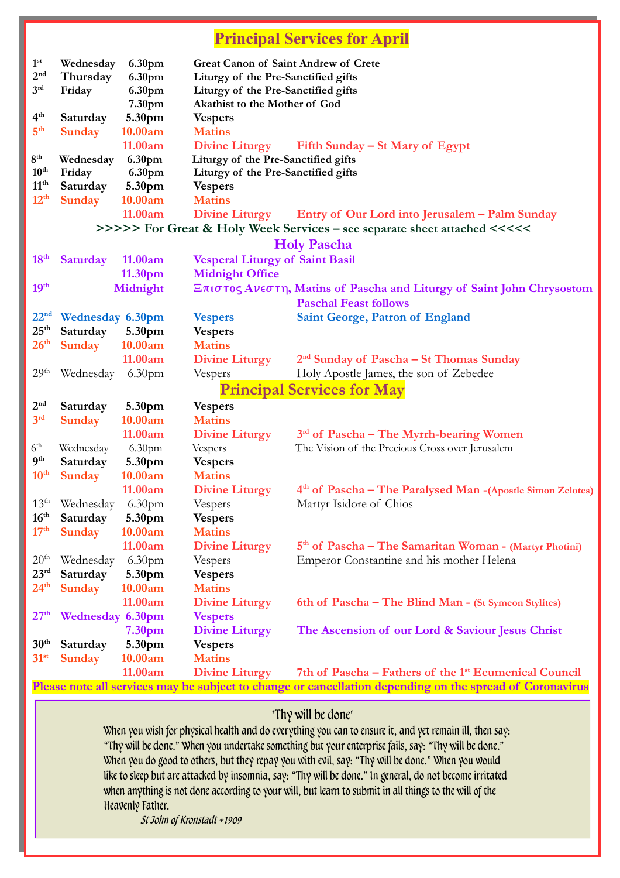# **Principal Services for April**

|                                                                                                          |                  |                    |                                        | $\frac{1}{2}$                                                           |  |  |  |
|----------------------------------------------------------------------------------------------------------|------------------|--------------------|----------------------------------------|-------------------------------------------------------------------------|--|--|--|
| 1 <sup>st</sup>                                                                                          | Wednesday        | 6.30pm             | Great Canon of Saint Andrew of Crete   |                                                                         |  |  |  |
| 2 <sup>nd</sup>                                                                                          | Thursday         | 6.30pm             | Liturgy of the Pre-Sanctified gifts    |                                                                         |  |  |  |
| $3^{\rm rd}$                                                                                             | Friday           | 6.30pm             | Liturgy of the Pre-Sanctified gifts    |                                                                         |  |  |  |
|                                                                                                          |                  | 7.30pm             | Akathist to the Mother of God          |                                                                         |  |  |  |
| 4 <sup>th</sup>                                                                                          | Saturday         | 5.30pm             | <b>Vespers</b>                         |                                                                         |  |  |  |
| 5 <sup>th</sup>                                                                                          | <b>Sunday</b>    | 10.00am            | <b>Matins</b>                          |                                                                         |  |  |  |
|                                                                                                          |                  | 11.00am            | <b>Divine Liturgy</b>                  | Fifth Sunday – St Mary of Egypt                                         |  |  |  |
| 8 <sup>th</sup>                                                                                          | Wednesday        | 6.30pm             | Liturgy of the Pre-Sanctified gifts    |                                                                         |  |  |  |
| 10 <sup>th</sup>                                                                                         | Friday           | 6.30pm             | Liturgy of the Pre-Sanctified gifts    |                                                                         |  |  |  |
| 11 <sup>th</sup>                                                                                         | Saturday         | 5.30pm             | <b>Vespers</b>                         |                                                                         |  |  |  |
| 12 <sup>th</sup>                                                                                         | <b>Sunday</b>    | 10.00am            | <b>Matins</b>                          |                                                                         |  |  |  |
|                                                                                                          |                  | 11.00am            | <b>Divine Liturgy</b>                  | Entry of Our Lord into Jerusalem – Palm Sunday                          |  |  |  |
|                                                                                                          |                  |                    |                                        |                                                                         |  |  |  |
| >>>>> For Great & Holy Week Services – see separate sheet attached <<<<<<br><b>Holy Pascha</b>           |                  |                    |                                        |                                                                         |  |  |  |
|                                                                                                          |                  |                    |                                        |                                                                         |  |  |  |
| 18 <sup>th</sup>                                                                                         | <b>Saturday</b>  | 11.00am            | <b>Vesperal Liturgy of Saint Basil</b> |                                                                         |  |  |  |
|                                                                                                          |                  | 11.30pm            | <b>Midnight Office</b>                 |                                                                         |  |  |  |
| 19 <sup>th</sup>                                                                                         |                  | Midnight           |                                        | Επιστος Ανεστη, Matins of Pascha and Liturgy of Saint John Chrysostom   |  |  |  |
|                                                                                                          |                  |                    |                                        | <b>Paschal Feast follows</b>                                            |  |  |  |
| 22 <sup>nd</sup>                                                                                         | Wednesday 6.30pm |                    | <b>Vespers</b>                         | Saint George, Patron of England                                         |  |  |  |
| 25 <sup>th</sup>                                                                                         | Saturday         | 5.30pm             | <b>Vespers</b>                         |                                                                         |  |  |  |
| 26 <sup>th</sup>                                                                                         | <b>Sunday</b>    | 10.00am            | <b>Matins</b>                          |                                                                         |  |  |  |
|                                                                                                          |                  | 11.00am            | <b>Divine Liturgy</b>                  | 2 <sup>nd</sup> Sunday of Pascha – St Thomas Sunday                     |  |  |  |
| 29 <sup>th</sup>                                                                                         | Wednesday        | 6.30 <sub>pm</sub> | Vespers                                | Holy Apostle James, the son of Zebedee                                  |  |  |  |
| <b>Principal Services for May</b>                                                                        |                  |                    |                                        |                                                                         |  |  |  |
| 2 <sup>nd</sup>                                                                                          | Saturday         | 5.30pm             | <b>Vespers</b>                         |                                                                         |  |  |  |
| 3 <sup>rd</sup>                                                                                          | <b>Sunday</b>    | 10.00am            | <b>Matins</b>                          |                                                                         |  |  |  |
|                                                                                                          |                  | 11.00am            | <b>Divine Liturgy</b>                  | 3rd of Pascha – The Myrrh-bearing Women                                 |  |  |  |
| 6 <sup>th</sup>                                                                                          | Wednesday        | 6.30 <sub>pm</sub> | Vespers                                | The Vision of the Precious Cross over Jerusalem                         |  |  |  |
| 9 <sup>th</sup>                                                                                          | Saturday         | 5.30pm             | <b>Vespers</b>                         |                                                                         |  |  |  |
| 10 <sup>th</sup>                                                                                         | <b>Sunday</b>    | 10.00am            | <b>Matins</b>                          |                                                                         |  |  |  |
|                                                                                                          |                  | 11.00am            | <b>Divine Liturgy</b>                  | 4 <sup>th</sup> of Pascha – The Paralysed Man - (Apostle Simon Zelotes) |  |  |  |
| $13^{\text{th}}$                                                                                         | Wednesday        | 6.30 <sub>pm</sub> | Vespers                                | Martyr Isidore of Chios                                                 |  |  |  |
| 16 <sup>th</sup>                                                                                         | Saturday         | 5.30pm             | <b>Vespers</b>                         |                                                                         |  |  |  |
| 17 <sup>th</sup>                                                                                         | <b>Sunday</b>    | 10.00am            | <b>Matins</b>                          |                                                                         |  |  |  |
|                                                                                                          |                  | 11.00am            | <b>Divine Liturgy</b>                  | 5 <sup>th</sup> of Pascha – The Samaritan Woman - (Martyr Photini)      |  |  |  |
| 20 <sup>th</sup>                                                                                         | Wednesday        | 6.30 <sub>pm</sub> | Vespers                                | Emperor Constantine and his mother Helena                               |  |  |  |
| 23 <sup>rd</sup>                                                                                         | Saturday         | 5.30pm             | <b>Vespers</b>                         |                                                                         |  |  |  |
| 24 <sup>th</sup>                                                                                         | <b>Sunday</b>    | 10.00am            | <b>Matins</b>                          |                                                                         |  |  |  |
|                                                                                                          |                  | 11.00am            | <b>Divine Liturgy</b>                  |                                                                         |  |  |  |
|                                                                                                          |                  |                    |                                        | 6th of Pascha – The Blind Man - (St Symeon Stylites)                    |  |  |  |
| 27 <sup>th</sup>                                                                                         | Wednesday 6.30pm |                    | <b>Vespers</b>                         |                                                                         |  |  |  |
|                                                                                                          |                  | 7.30 <sub>pm</sub> | <b>Divine Liturgy</b>                  | The Ascension of our Lord & Saviour Jesus Christ                        |  |  |  |
| 30 <sup>th</sup>                                                                                         | Saturday         | 5.30pm             | <b>Vespers</b>                         |                                                                         |  |  |  |
| $31^{st}$                                                                                                | <b>Sunday</b>    | 10.00am            | <b>Matins</b>                          |                                                                         |  |  |  |
|                                                                                                          |                  | 11.00am            | <b>Divine Liturgy</b>                  | 7th of Pascha – Fathers of the 1 <sup>st</sup> Ecumenical Council       |  |  |  |
| Please note all services may be subject to change or cancellation depending on the spread of Coronavirus |                  |                    |                                        |                                                                         |  |  |  |

# 'Thy will be done'

When you wish for physical health and do everything you can to ensure it, and yet remain ill, then say: "Thy will be done." When you undertake something but your enterprise fails, say: "Thy will be done." When you do good to others, but they repay you with evil, say: "Thy will be done." When you would like to sleep but are attacked by insomnia, say: "Thy will be done." In general, do not become irritated when anything is not done according to your will, but learn to submit in all things to the will of the Heavenly Father.

St John of Kronstadt +1909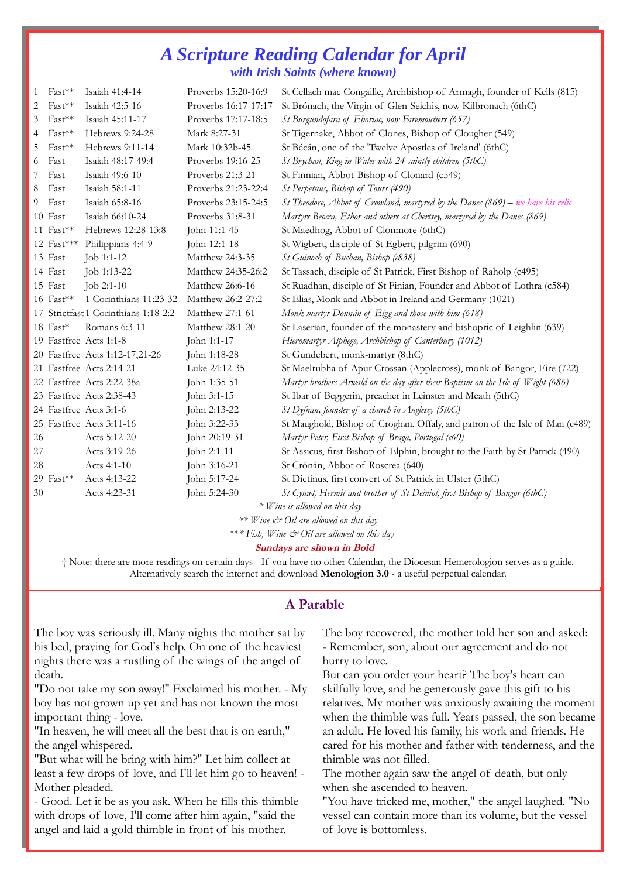## *A Scripture Reading Calendar for April with Irish Saints (where known)*

| 1                                       | $Fast***$    | Isaiah 41:4-14                       | Proverbs 15:20-16:9  | St Cellach mac Congaille, Archbishop of Armagh, founder of Kells (815)            |  |  |
|-----------------------------------------|--------------|--------------------------------------|----------------------|-----------------------------------------------------------------------------------|--|--|
| 2                                       | Fast**       | Isaiah 42:5-16                       | Proverbs 16:17-17:17 | St Brónach, the Virgin of Glen-Seichis, now Kilbronach (6thC)                     |  |  |
| 3                                       | Fast**       | Isaiah 45:11-17                      | Proverbs 17:17-18:5  | St Burgundofara of Eboriac, now Faremoutiers (657)                                |  |  |
| 4                                       | $Fast***$    | Hebrews 9:24-28                      | Mark 8:27-31         | St Tigernake, Abbot of Clones, Bishop of Clougher (549)                           |  |  |
| 5                                       | $Fast***$    | Hebrews 9:11-14                      | Mark 10:32b-45       | St Bécán, one of the 'Twelve Apostles of Ireland' (6thC)                          |  |  |
| 6                                       | Fast         | Isaiah 48:17-49:4                    | Proverbs 19:16-25    | St Brychan, King in Wales with 24 saintly children (5thC)                         |  |  |
| 7                                       | Fast         | Isaiah 49:6-10                       | Proverbs 21:3-21     | St Finnian, Abbot-Bishop of Clonard (c549)                                        |  |  |
| 8                                       | Fast         | Isaiah 58:1-11                       | Proverbs 21:23-22:4  | St Perpetuus, Bishop of Tours (490)                                               |  |  |
| 9                                       | Fast         | Isaiah 65:8-16                       | Proverbs 23:15-24:5  | St Theodore, Abbot of Crowland, martyred by the Danes $(869)$ – we have his relic |  |  |
|                                         | 10 Fast      | Isaiah 66:10-24                      | Proverbs 31:8-31     | Martyrs Beocca, Ethor and others at Chertsey, martyred by the Danes (869)         |  |  |
|                                         | 11 $Fast**$  | Hebrews 12:28-13:8                   | John 11:1-45         | St Maedhog, Abbot of Clonmore (6thC)                                              |  |  |
|                                         | 12 $Fast***$ | Philippians 4:4-9                    | John 12:1-18         | St Wigbert, disciple of St Egbert, pilgrim (690)                                  |  |  |
|                                         | 13 Fast      | Job 1:1-12                           | Matthew 24:3-35      | St Guinoch of Buchan, Bishop (c838)                                               |  |  |
|                                         | 14 Fast      | Job 1:13-22                          | Matthew 24:35-26:2   | St Tassach, disciple of St Patrick, First Bishop of Raholp (c495)                 |  |  |
|                                         | 15 Fast      | Job 2:1-10                           | Matthew 26:6-16      | St Ruadhan, disciple of St Finian, Founder and Abbot of Lothra (c584)             |  |  |
|                                         | 16 Fast**    | 1 Corinthians 11:23-32               | Matthew 26:2-27:2    | St Elias, Monk and Abbot in Ireland and Germany (1021)                            |  |  |
|                                         |              | 17 Strictfast 1 Corinthians 1:18-2:2 | Matthew 27:1-61      | Monk-martyr Donnán of Eigg and those with him (618)                               |  |  |
|                                         | 18 Fast*     | Romans 6:3-11                        | Matthew 28:1-20      | St Laserian, founder of the monastery and bishopric of Leighlin (639)             |  |  |
|                                         |              | 19 Fastfree Acts 1:1-8               | John 1:1-17          | Hieromartyr Alphege, Archbishop of Canterbury (1012)                              |  |  |
|                                         |              | 20 Fastfree Acts 1:12-17,21-26       | John 1:18-28         | St Gundebert, monk-martyr (8thC)                                                  |  |  |
|                                         |              | 21 Fastfree Acts 2:14-21             | Luke 24:12-35        | St Maelrubha of Apur Crossan (Applecross), monk of Bangor, Eire (722)             |  |  |
|                                         |              | 22 Fastfree Acts 2:22-38a            | John 1:35-51         | Martyr-brothers Arwald on the day after their Baptism on the Isle of Wight (686)  |  |  |
|                                         |              | 23 Fastfree Acts 2:38-43             | John 3:1-15          | St Ibar of Beggerin, preacher in Leinster and Meath (5thC)                        |  |  |
|                                         |              | 24 Fastfree Acts 3:1-6               | John 2:13-22         | St Dyfnan, founder of a church in Anglesey (5thC)                                 |  |  |
|                                         |              | 25 Fastfree Acts 3:11-16             | John 3:22-33         | St Maughold, Bishop of Croghan, Offaly, and patron of the Isle of Man (c489)      |  |  |
| 26                                      |              | Acts 5:12-20                         | John 20:19-31        | Martyr Peter, First Bishop of Braga, Portugal (c60)                               |  |  |
| 27                                      |              | Acts 3:19-26                         | John 2:1-11          | St Assicus, first Bishop of Elphin, brought to the Faith by St Patrick (490)      |  |  |
| 28                                      |              | Acts 4:1-10                          | John 3:16-21         | St Crónán, Abbot of Roscrea (640)                                                 |  |  |
|                                         | 29 $Fast**$  | Acts 4:13-22                         | John 5:17-24         | St Dictinus, first convert of St Patrick in Ulster (5thC)                         |  |  |
| 30                                      |              | Acts 4:23-31                         | John 5:24-30         | St Cynwl, Hermit and brother of St Deiniol, first Bishop of Bangor (6thC)         |  |  |
| $*$ <i>W</i> ine is allowed on this day |              |                                      |                      |                                                                                   |  |  |

*\*\* Wine & Oil are allowed on this day* 

\*\**\* Fish, Wine & Oil are allowed on this day* 

#### **Sundays are shown in Bold**

† Note: there are more readings on certain days - If you have no other Calendar, the Diocesan Hemerologion serves as a guide. Alternatively search the internet and download **Menologion 3.0** - a useful perpetual calendar.

#### **A Parable**

The boy was seriously ill. Many nights the mother sat by his bed, praying for God's help. On one of the heaviest nights there was a rustling of the wings of the angel of death.

"Do not take my son away!" Exclaimed his mother. - My boy has not grown up yet and has not known the most important thing - love.

"In heaven, he will meet all the best that is on earth," the angel whispered.

"But what will he bring with him?" Let him collect at least a few drops of love, and I'll let him go to heaven! - Mother pleaded.

- Good. Let it be as you ask. When he fills this thimble with drops of love, I'll come after him again, "said the angel and laid a gold thimble in front of his mother.

The boy recovered, the mother told her son and asked:

- Remember, son, about our agreement and do not hurry to love.

But can you order your heart? The boy's heart can skilfully love, and he generously gave this gift to his relatives. My mother was anxiously awaiting the moment when the thimble was full. Years passed, the son became an adult. He loved his family, his work and friends. He cared for his mother and father with tenderness, and the thimble was not filled.

The mother again saw the angel of death, but only when she ascended to heaven.

"You have tricked me, mother," the angel laughed. "No vessel can contain more than its volume, but the vessel of love is bottomless.